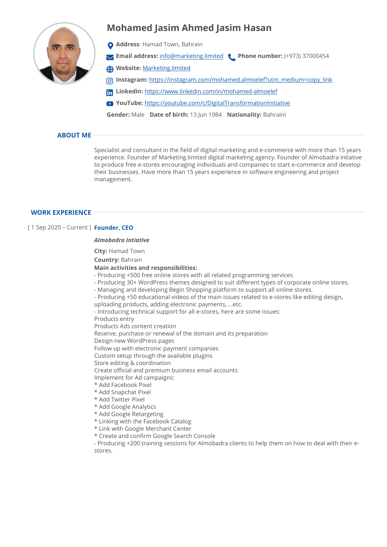# **Mohamed Jasim Ahmed Jasim Hasan**



- **Address**: Hamad Town, Bahrain
- **Email address:** [info@marketing.limited](mailto:info@marketing.limited) **Phone number:** (+973) 37000454
- **Website:** [Marketing.limited](http://Marketing.limited)
- **Instagram:** [https://instagram.com/mohamed.almoelef?utm\\_medium=copy\\_link](https://instagram.com/mohamed.almoelef?utm_medium=copy_link)
- **LinkedIn:** <https://www.linkedin.com/in/mohamed-almoelef>
- **YouTube:** <https://youtube.com/c/DigitalTransformationInitiative>

**Gender:** Male **Date of birth:** 13 Jun 1984 **Nationality:** Bahraini

## **ABOUT ME**

Specialist and consultant in the field of digital marketing and e-commerce with more than 15 years experience. Founder of Marketing.limited digital marketing agency. Founder of Almobadra intiative to produce free e-stores encouraging individuals and companies to start e-commerce and develop their businesses. Have more than 15 years experience in software engineering and project management.

### **WORK EXPERIENCE**

### [ 1 Sep 2020 – Current ] **Founder, CEO**

### *Almobadra Intiative*

**City:** Hamad Town

**Country:** Bahrain

### **Main activities and responsibilities:**

- Producing +500 free online stores with all related programming services.
- Producing 30+ WordPress themes designed to suit different types of corporate online stores.
- Managing and developing Begin Shopping platform to support all online stores.
- Producing +50 educational videos of the main issues related to e-stores like editing design,
- uploading products, adding electronic payments, ...etc.
- Introducing technical support for all e-stores, here are some issues:

Products entry

- Products Ads content creation
- Reserve, purchase or renewal of the domain and its preparation
- Design new WordPress pages
- Follow up with electronic payment companies

Custom setup through the available plugins

- Store editing & coordination
- Create official and premium business email accounts
- Implement for Ad campaigns:
- \* Add Facebook Pixel
- \* Add Snapchat Pixel
- \* Add Twitter Pixel
- \* Add Google Analytics
- \* Add Google Retargeting
- \* Linking with the Facebook Catalog
- \* Link with Google Merchant Center
- \* Create and confirm Google Search Console

- Producing +200 training sessions for Almobadra clients to help them on how to deal with their estores.